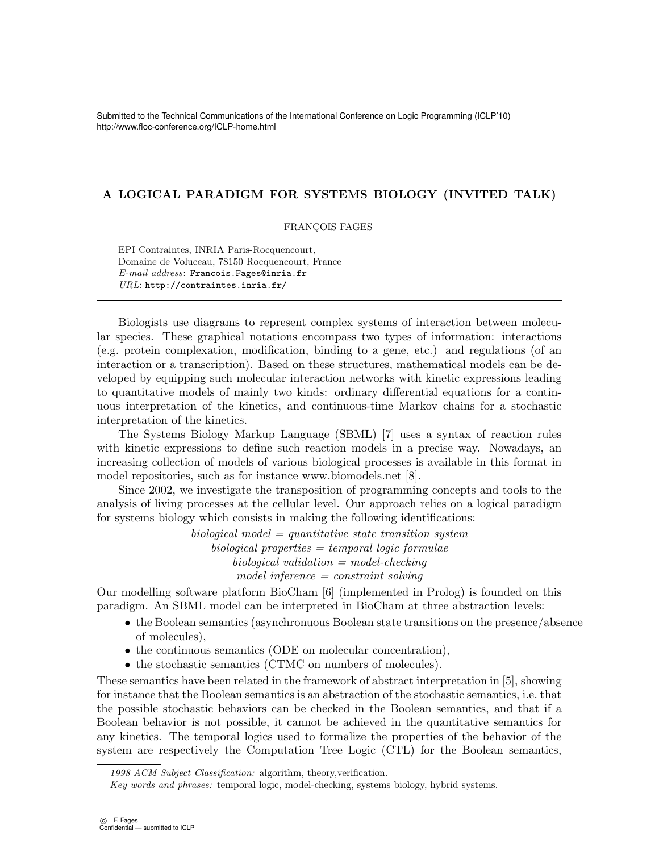## A LOGICAL PARADIGM FOR SYSTEMS BIOLOGY (INVITED TALK)

FRANÇOIS FAGES

EPI Contraintes, INRIA Paris-Rocquencourt, Domaine de Voluceau, 78150 Rocquencourt, France E-mail address: Francois.Fages@inria.fr URL: http://contraintes.inria.fr/

Biologists use diagrams to represent complex systems of interaction between molecular species. These graphical notations encompass two types of information: interactions (e.g. protein complexation, modification, binding to a gene, etc.) and regulations (of an interaction or a transcription). Based on these structures, mathematical models can be developed by equipping such molecular interaction networks with kinetic expressions leading to quantitative models of mainly two kinds: ordinary differential equations for a continuous interpretation of the kinetics, and continuous-time Markov chains for a stochastic interpretation of the kinetics.

The Systems Biology Markup Language (SBML) [7] uses a syntax of reaction rules with kinetic expressions to define such reaction models in a precise way. Nowadays, an increasing collection of models of various biological processes is available in this format in model repositories, such as for instance www.biomodels.net [8].

Since 2002, we investigate the transposition of programming concepts and tools to the analysis of living processes at the cellular level. Our approach relies on a logical paradigm for systems biology which consists in making the following identifications:

> $biological \ model = quantitative \ state \ transition \ system$  $biological$  properties  $=$  temporal logic formulae  $biological validation = model-checking$ model inference = constraint solving

Our modelling software platform BioCham [6] (implemented in Prolog) is founded on this paradigm. An SBML model can be interpreted in BioCham at three abstraction levels:

- the Boolean semantics (asynchronuous Boolean state transitions on the presence/absence of molecules),
- the continuous semantics (ODE on molecular concentration),
- the stochastic semantics (CTMC on numbers of molecules).

These semantics have been related in the framework of abstract interpretation in [5], showing for instance that the Boolean semantics is an abstraction of the stochastic semantics, i.e. that the possible stochastic behaviors can be checked in the Boolean semantics, and that if a Boolean behavior is not possible, it cannot be achieved in the quantitative semantics for any kinetics. The temporal logics used to formalize the properties of the behavior of the system are respectively the Computation Tree Logic (CTL) for the Boolean semantics,

<sup>1998</sup> ACM Subject Classification: algorithm, theory,verification.

Key words and phrases: temporal logic, model-checking, systems biology, hybrid systems.